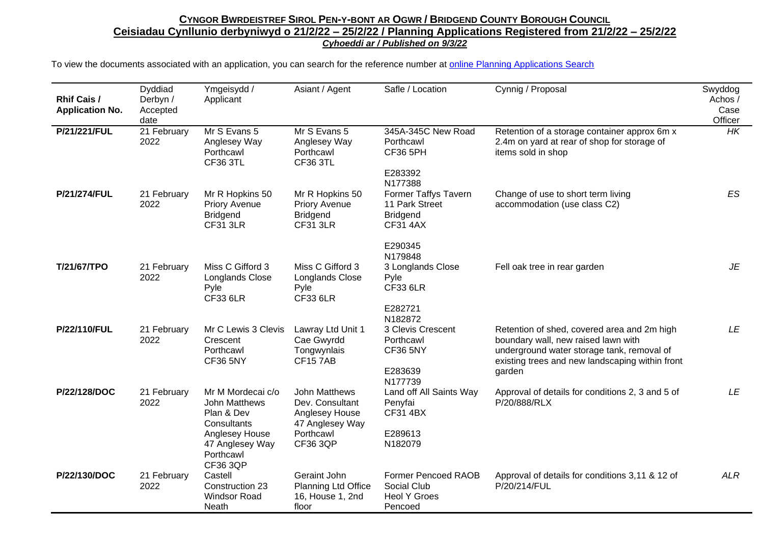| <b>Rhif Cais /</b><br><b>Application No.</b> | Dyddiad<br>Derbyn /<br>Accepted<br>date | Ymgeisydd /<br>Applicant                                                                                          | Asiant / Agent                                                                                        | Safle / Location                                                             | Cynnig / Proposal                                                                                                                                                                             | Swyddog<br>Achos /<br>Case<br>Officer |
|----------------------------------------------|-----------------------------------------|-------------------------------------------------------------------------------------------------------------------|-------------------------------------------------------------------------------------------------------|------------------------------------------------------------------------------|-----------------------------------------------------------------------------------------------------------------------------------------------------------------------------------------------|---------------------------------------|
| P/21/221/FUL                                 | 21 February<br>2022                     | Mr S Evans 5<br>Anglesey Way<br>Porthcawl<br><b>CF36 3TL</b>                                                      | Mr S Evans 5<br>Anglesey Way<br>Porthcawl<br><b>CF36 3TL</b>                                          | 345A-345C New Road<br>Porthcawl<br><b>CF36 5PH</b>                           | Retention of a storage container approx 6m x<br>2.4m on yard at rear of shop for storage of<br>items sold in shop                                                                             | HK                                    |
|                                              |                                         |                                                                                                                   |                                                                                                       | E283392<br>N177388                                                           |                                                                                                                                                                                               |                                       |
| <b>P/21/274/FUL</b>                          | 21 February<br>2022                     | Mr R Hopkins 50<br><b>Priory Avenue</b><br><b>Bridgend</b><br><b>CF31 3LR</b>                                     | Mr R Hopkins 50<br><b>Priory Avenue</b><br><b>Bridgend</b><br><b>CF31 3LR</b>                         | Former Taffys Tavern<br>11 Park Street<br><b>Bridgend</b><br><b>CF31 4AX</b> | Change of use to short term living<br>accommodation (use class C2)                                                                                                                            | ES                                    |
|                                              |                                         |                                                                                                                   |                                                                                                       | E290345                                                                      |                                                                                                                                                                                               |                                       |
| T/21/67/TPO                                  | 21 February<br>2022                     | Miss C Gifford 3<br>Longlands Close<br>Pyle<br><b>CF33 6LR</b>                                                    | Miss C Gifford 3<br><b>Longlands Close</b><br>Pyle<br><b>CF33 6LR</b>                                 | N179848<br>3 Longlands Close<br>Pyle<br><b>CF33 6LR</b>                      | Fell oak tree in rear garden                                                                                                                                                                  | JE                                    |
|                                              |                                         |                                                                                                                   |                                                                                                       | E282721<br>N182872                                                           |                                                                                                                                                                                               |                                       |
| P/22/110/FUL                                 | 21 February<br>2022                     | Mr C Lewis 3 Clevis<br>Crescent<br>Porthcawl<br><b>CF36 5NY</b>                                                   | Lawray Ltd Unit 1<br>Cae Gwyrdd<br>Tongwynlais<br><b>CF157AB</b>                                      | 3 Clevis Crescent<br>Porthcawl<br><b>CF36 5NY</b><br>E283639<br>N177739      | Retention of shed, covered area and 2m high<br>boundary wall, new raised lawn with<br>underground water storage tank, removal of<br>existing trees and new landscaping within front<br>garden | <b>LE</b>                             |
| P/22/128/DOC                                 | 21 February<br>2022                     | Mr M Mordecai c/o<br>John Matthews<br>Plan & Dev<br>Consultants<br>Anglesey House<br>47 Anglesey Way<br>Porthcawl | John Matthews<br>Dev. Consultant<br>Anglesey House<br>47 Anglesey Way<br>Porthcawl<br><b>CF36 3QP</b> | Land off All Saints Way<br>Penyfai<br><b>CF31 4BX</b><br>E289613<br>N182079  | Approval of details for conditions 2, 3 and 5 of<br>P/20/888/RLX                                                                                                                              | LE                                    |
| P/22/130/DOC                                 |                                         | <b>CF36 3QP</b>                                                                                                   | Geraint John                                                                                          | <b>Former Pencoed RAOB</b>                                                   |                                                                                                                                                                                               | <b>ALR</b>                            |
|                                              | 21 February<br>2022                     | Castell<br>Construction 23<br><b>Windsor Road</b><br>Neath                                                        | Planning Ltd Office<br>16, House 1, 2nd<br>floor                                                      | Social Club<br><b>Heol Y Groes</b><br>Pencoed                                | Approval of details for conditions 3,11 & 12 of<br>P/20/214/FUL                                                                                                                               |                                       |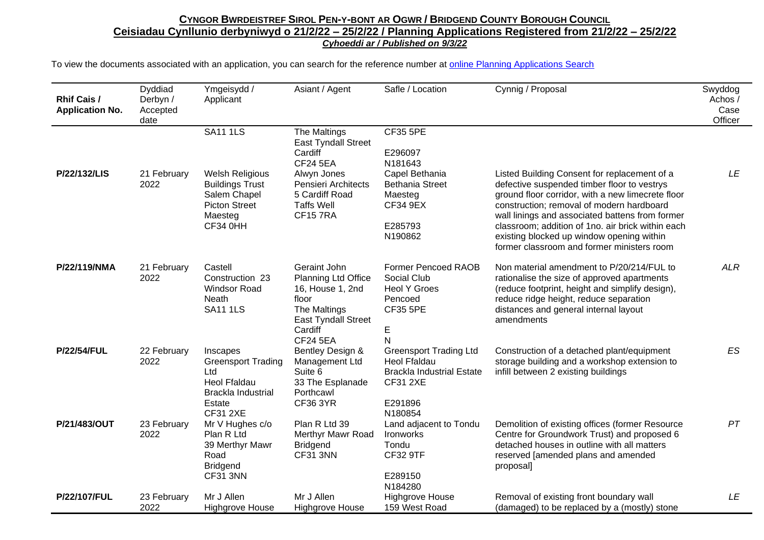| <b>Rhif Cais /</b><br><b>Application No.</b> | Dyddiad<br>Derbyn /<br>Accepted<br>date | Ymgeisydd /<br>Applicant                                                                                                                  | Asiant / Agent                                                                                                                                                   | Safle / Location                                                                                                                      | Cynnig / Proposal                                                                                                                                                                                                                                                                                                                                                                                | Swyddog<br>Achos /<br>Case<br>Officer |
|----------------------------------------------|-----------------------------------------|-------------------------------------------------------------------------------------------------------------------------------------------|------------------------------------------------------------------------------------------------------------------------------------------------------------------|---------------------------------------------------------------------------------------------------------------------------------------|--------------------------------------------------------------------------------------------------------------------------------------------------------------------------------------------------------------------------------------------------------------------------------------------------------------------------------------------------------------------------------------------------|---------------------------------------|
| P/22/132/LIS                                 | 21 February<br>2022                     | <b>SA11 1LS</b><br><b>Welsh Religious</b><br><b>Buildings Trust</b><br>Salem Chapel<br><b>Picton Street</b><br>Maesteg<br><b>CF34 0HH</b> | The Maltings<br>East Tyndall Street<br>Cardiff<br><b>CF24 5EA</b><br>Alwyn Jones<br>Pensieri Architects<br>5 Cardiff Road<br><b>Taffs Well</b><br><b>CF157RA</b> | <b>CF35 5PE</b><br>E296097<br>N181643<br>Capel Bethania<br><b>Bethania Street</b><br>Maesteg<br><b>CF34 9EX</b><br>E285793<br>N190862 | Listed Building Consent for replacement of a<br>defective suspended timber floor to vestrys<br>ground floor corridor, with a new limecrete floor<br>construction; removal of modern hardboard<br>wall linings and associated battens from former<br>classroom; addition of 1no. air brick within each<br>existing blocked up window opening within<br>former classroom and former ministers room | LE                                    |
| P/22/119/NMA                                 | 21 February<br>2022                     | Castell<br>Construction 23<br><b>Windsor Road</b><br>Neath<br><b>SA11 1LS</b>                                                             | Geraint John<br>Planning Ltd Office<br>16, House 1, 2nd<br>floor<br>The Maltings<br><b>East Tyndall Street</b><br>Cardiff<br><b>CF24 5EA</b>                     | <b>Former Pencoed RAOB</b><br>Social Club<br><b>Heol Y Groes</b><br>Pencoed<br><b>CF35 5PE</b><br>E<br>N                              | Non material amendment to P/20/214/FUL to<br>rationalise the size of approved apartments<br>(reduce footprint, height and simplify design),<br>reduce ridge height, reduce separation<br>distances and general internal layout<br>amendments                                                                                                                                                     | <b>ALR</b>                            |
| <b>P/22/54/FUL</b>                           | 22 February<br>2022                     | Inscapes<br><b>Greensport Trading</b><br>Ltd<br><b>Heol Ffaldau</b><br>Brackla Industrial<br>Estate<br><b>CF31 2XE</b>                    | Bentley Design &<br>Management Ltd<br>Suite 6<br>33 The Esplanade<br>Porthcawl<br><b>CF36 3YR</b>                                                                | <b>Greensport Trading Ltd</b><br><b>Heol Ffaldau</b><br><b>Brackla Industrial Estate</b><br><b>CF31 2XE</b><br>E291896<br>N180854     | Construction of a detached plant/equipment<br>storage building and a workshop extension to<br>infill between 2 existing buildings                                                                                                                                                                                                                                                                | ES                                    |
| P/21/483/OUT                                 | 23 February<br>2022                     | Mr V Hughes c/o<br>Plan R Ltd<br>39 Merthyr Mawr<br>Road<br><b>Bridgend</b><br>CF31 3NN                                                   | Plan R Ltd 39<br>Merthyr Mawr Road<br><b>Bridgend</b><br><b>CF31 3NN</b>                                                                                         | Land adjacent to Tondu<br>Ironworks<br>Tondu<br><b>CF32 9TF</b><br>E289150<br>N184280                                                 | Demolition of existing offices (former Resource<br>Centre for Groundwork Trust) and proposed 6<br>detached houses in outline with all matters<br>reserved [amended plans and amended<br>proposal]                                                                                                                                                                                                | PT                                    |
| P/22/107/FUL                                 | 23 February<br>2022                     | Mr J Allen<br><b>Highgrove House</b>                                                                                                      | Mr J Allen<br><b>Highgrove House</b>                                                                                                                             | <b>Highgrove House</b><br>159 West Road                                                                                               | Removal of existing front boundary wall<br>(damaged) to be replaced by a (mostly) stone                                                                                                                                                                                                                                                                                                          | LE                                    |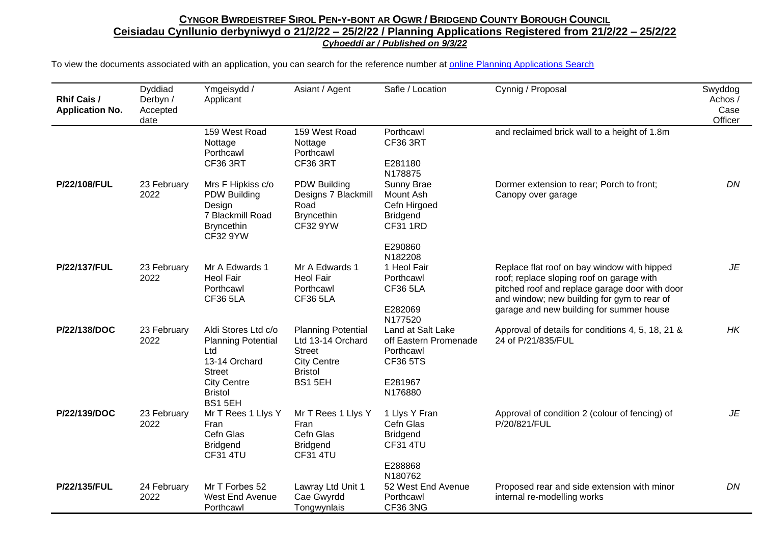| <b>Rhif Cais /</b><br><b>Application No.</b> | Dyddiad<br>Derbyn /<br>Accepted<br>date | Ymgeisydd /<br>Applicant                                                                                                                    | Asiant / Agent                                                                                                     | Safle / Location                                                                                 | Cynnig / Proposal                                                                                                                                                                                                                     | Swyddog<br>Achos /<br>Case<br>Officer |
|----------------------------------------------|-----------------------------------------|---------------------------------------------------------------------------------------------------------------------------------------------|--------------------------------------------------------------------------------------------------------------------|--------------------------------------------------------------------------------------------------|---------------------------------------------------------------------------------------------------------------------------------------------------------------------------------------------------------------------------------------|---------------------------------------|
|                                              |                                         | 159 West Road<br>Nottage<br>Porthcawl<br><b>CF36 3RT</b>                                                                                    | 159 West Road<br>Nottage<br>Porthcawl<br><b>CF36 3RT</b>                                                           | Porthcawl<br>CF36 3RT<br>E281180<br>N178875                                                      | and reclaimed brick wall to a height of 1.8m                                                                                                                                                                                          |                                       |
| P/22/108/FUL                                 | 23 February<br>2022                     | Mrs F Hipkiss c/o<br><b>PDW Building</b><br>Design<br>7 Blackmill Road<br><b>Bryncethin</b><br><b>CF32 9YW</b>                              | <b>PDW Building</b><br>Designs 7 Blackmill<br>Road<br><b>Bryncethin</b><br>CF32 9YW                                | Sunny Brae<br>Mount Ash<br>Cefn Hirgoed<br><b>Bridgend</b><br><b>CF31 1RD</b><br>E290860         | Dormer extension to rear; Porch to front;<br>Canopy over garage                                                                                                                                                                       | DN                                    |
| P/22/137/FUL                                 | 23 February<br>2022                     | Mr A Edwards 1<br>Heol Fair<br>Porthcawl<br><b>CF36 5LA</b>                                                                                 | Mr A Edwards 1<br><b>Heol Fair</b><br>Porthcawl<br><b>CF36 5LA</b>                                                 | N182208<br>1 Heol Fair<br>Porthcawl<br><b>CF36 5LA</b><br>E282069<br>N177520                     | Replace flat roof on bay window with hipped<br>roof; replace sloping roof on garage with<br>pitched roof and replace garage door with door<br>and window; new building for gym to rear of<br>garage and new building for summer house | JE                                    |
| P/22/138/DOC                                 | 23 February<br>2022                     | Aldi Stores Ltd c/o<br><b>Planning Potential</b><br>Ltd<br>13-14 Orchard<br><b>Street</b><br><b>City Centre</b><br><b>Bristol</b><br>BS15EH | <b>Planning Potential</b><br>Ltd 13-14 Orchard<br><b>Street</b><br><b>City Centre</b><br><b>Bristol</b><br>BS1 5EH | Land at Salt Lake<br>off Eastern Promenade<br>Porthcawl<br><b>CF36 5TS</b><br>E281967<br>N176880 | Approval of details for conditions 4, 5, 18, 21 &<br>24 of P/21/835/FUL                                                                                                                                                               | HK                                    |
| P/22/139/DOC                                 | 23 February<br>2022                     | Mr T Rees 1 Llys Y<br>Fran<br>Cefn Glas<br><b>Bridgend</b><br>CF31 4TU                                                                      | Mr T Rees 1 Llys Y<br>Fran<br>Cefn Glas<br><b>Bridgend</b><br>CF31 4TU                                             | 1 Llys Y Fran<br>Cefn Glas<br><b>Bridgend</b><br><b>CF31 4TU</b><br>E288868<br>N180762           | Approval of condition 2 (colour of fencing) of<br>P/20/821/FUL                                                                                                                                                                        | JE                                    |
| P/22/135/FUL                                 | 24 February<br>2022                     | Mr T Forbes 52<br>West End Avenue<br>Porthcawl                                                                                              | Lawray Ltd Unit 1<br>Cae Gwyrdd<br>Tongwynlais                                                                     | 52 West End Avenue<br>Porthcawl<br>CF36 3NG                                                      | Proposed rear and side extension with minor<br>internal re-modelling works                                                                                                                                                            | DN                                    |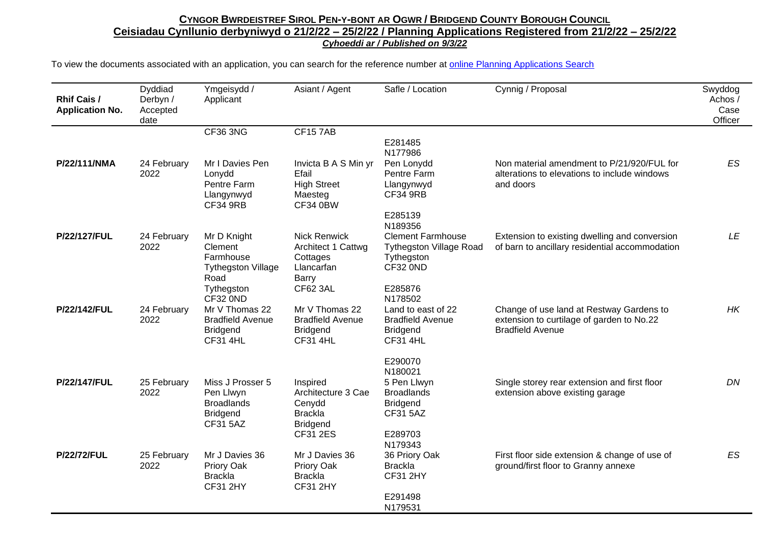| <b>Rhif Cais /</b><br><b>Application No.</b> | Dyddiad<br>Derbyn /<br>Accepted<br>date | Ymgeisydd /<br>Applicant                                                                    | Asiant / Agent                                                                      | Safle / Location                                                                                | Cynnig / Proposal                                                                                                | Swyddog<br>Achos /<br>Case<br>Officer |
|----------------------------------------------|-----------------------------------------|---------------------------------------------------------------------------------------------|-------------------------------------------------------------------------------------|-------------------------------------------------------------------------------------------------|------------------------------------------------------------------------------------------------------------------|---------------------------------------|
|                                              |                                         | <b>CF36 3NG</b>                                                                             | <b>CF157AB</b>                                                                      |                                                                                                 |                                                                                                                  |                                       |
|                                              |                                         |                                                                                             |                                                                                     | E281485<br>N177986                                                                              |                                                                                                                  |                                       |
| P/22/111/NMA                                 | 24 February<br>2022                     | Mr I Davies Pen<br>Lonydd<br>Pentre Farm<br>Llangynwyd<br><b>CF34 9RB</b>                   | Invicta B A S Min yr<br>Efail<br><b>High Street</b><br>Maesteg<br><b>CF34 0BW</b>   | Pen Lonydd<br>Pentre Farm<br>Llangynwyd<br><b>CF34 9RB</b>                                      | Non material amendment to P/21/920/FUL for<br>alterations to elevations to include windows<br>and doors          | ES                                    |
|                                              |                                         |                                                                                             |                                                                                     | E285139                                                                                         |                                                                                                                  |                                       |
| P/22/127/FUL                                 | 24 February<br>2022                     | Mr D Knight<br>Clement<br>Farmhouse<br><b>Tythegston Village</b><br>Road                    | <b>Nick Renwick</b><br>Architect 1 Cattwg<br>Cottages<br><b>Llancarfan</b><br>Barry | N189356<br><b>Clement Farmhouse</b><br><b>Tythegston Village Road</b><br>Tythegston<br>CF32 0ND | Extension to existing dwelling and conversion<br>of barn to ancillary residential accommodation                  | LE                                    |
|                                              |                                         | Tythegston                                                                                  | CF62 3AL                                                                            | E285876                                                                                         |                                                                                                                  |                                       |
| P/22/142/FUL                                 | 24 February<br>2022                     | CF32 0ND<br>Mr V Thomas 22<br><b>Bradfield Avenue</b><br><b>Bridgend</b><br><b>CF31 4HL</b> | Mr V Thomas 22<br><b>Bradfield Avenue</b><br><b>Bridgend</b><br><b>CF31 4HL</b>     | N178502<br>Land to east of 22<br><b>Bradfield Avenue</b><br><b>Bridgend</b><br><b>CF31 4HL</b>  | Change of use land at Restway Gardens to<br>extension to curtilage of garden to No.22<br><b>Bradfield Avenue</b> | HK                                    |
|                                              |                                         |                                                                                             |                                                                                     | E290070                                                                                         |                                                                                                                  |                                       |
| P/22/147/FUL                                 | 25 February<br>2022                     | Miss J Prosser 5<br>Pen Llwyn<br><b>Broadlands</b><br><b>Bridgend</b><br><b>CF31 5AZ</b>    | Inspired<br>Architecture 3 Cae<br>Cenydd<br><b>Brackla</b><br><b>Bridgend</b>       | N180021<br>5 Pen Llwyn<br><b>Broadlands</b><br><b>Bridgend</b><br><b>CF31 5AZ</b>               | Single storey rear extension and first floor<br>extension above existing garage                                  | DN                                    |
|                                              |                                         |                                                                                             | <b>CF31 2ES</b>                                                                     | E289703                                                                                         |                                                                                                                  |                                       |
| <b>P/22/72/FUL</b>                           | 25 February<br>2022                     | Mr J Davies 36<br>Priory Oak<br><b>Brackla</b><br><b>CF31 2HY</b>                           | Mr J Davies 36<br>Priory Oak<br><b>Brackla</b><br><b>CF31 2HY</b>                   | N179343<br>36 Priory Oak<br><b>Brackla</b><br><b>CF31 2HY</b>                                   | First floor side extension & change of use of<br>ground/first floor to Granny annexe                             | ES                                    |
|                                              |                                         |                                                                                             |                                                                                     | E291498<br>N179531                                                                              |                                                                                                                  |                                       |